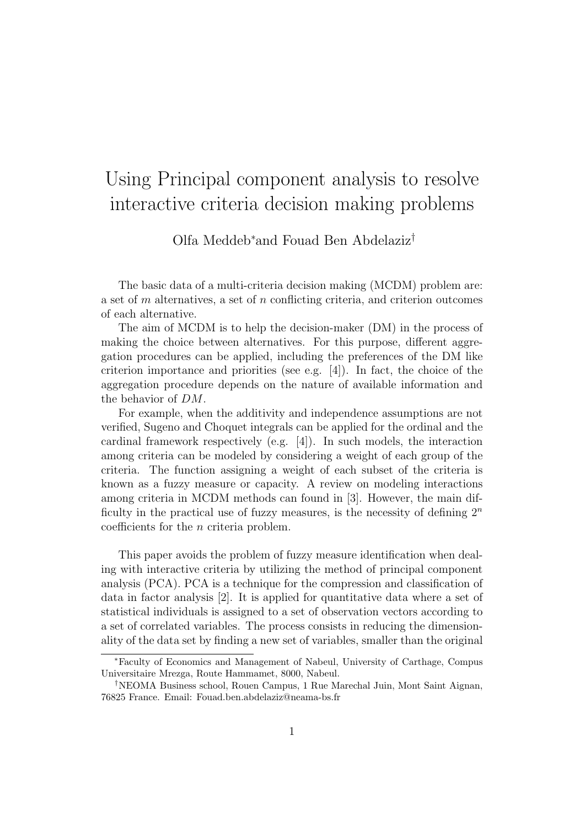## Using Principal component analysis to resolve interactive criteria decision making problems

Olfa Meddeb<sup>∗</sup>and Fouad Ben Abdelaziz†

The basic data of a multi-criteria decision making (MCDM) problem are: a set of  $m$  alternatives, a set of  $n$  conflicting criteria, and criterion outcomes of each alternative.

The aim of MCDM is to help the decision-maker (DM) in the process of making the choice between alternatives. For this purpose, different aggregation procedures can be applied, including the preferences of the DM like criterion importance and priorities (see e.g. [4]). In fact, the choice of the aggregation procedure depends on the nature of available information and the behavior of DM.

For example, when the additivity and independence assumptions are not verified, Sugeno and Choquet integrals can be applied for the ordinal and the cardinal framework respectively (e.g.  $[4]$ ). In such models, the interaction among criteria can be modeled by considering a weight of each group of the criteria. The function assigning a weight of each subset of the criteria is known as a fuzzy measure or capacity. A review on modeling interactions among criteria in MCDM methods can found in [3]. However, the main difficulty in the practical use of fuzzy measures, is the necessity of defining  $2^n$ coefficients for the n criteria problem.

This paper avoids the problem of fuzzy measure identification when dealing with interactive criteria by utilizing the method of principal component analysis (PCA). PCA is a technique for the compression and classification of data in factor analysis [2]. It is applied for quantitative data where a set of statistical individuals is assigned to a set of observation vectors according to a set of correlated variables. The process consists in reducing the dimensionality of the data set by finding a new set of variables, smaller than the original

<sup>∗</sup>Faculty of Economics and Management of Nabeul, University of Carthage, Compus Universitaire Mrezga, Route Hammamet, 8000, Nabeul.

<sup>†</sup>NEOMA Business school, Rouen Campus, 1 Rue Marechal Juin, Mont Saint Aignan, 76825 France. Email: Fouad.ben.abdelaziz@neama-bs.fr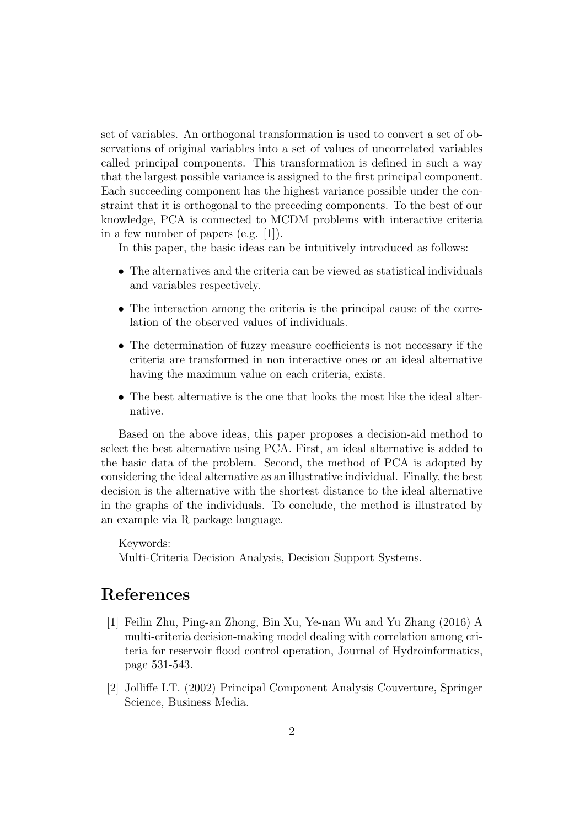set of variables. An orthogonal transformation is used to convert a set of observations of original variables into a set of values of uncorrelated variables called principal components. This transformation is defined in such a way that the largest possible variance is assigned to the first principal component. Each succeeding component has the highest variance possible under the constraint that it is orthogonal to the preceding components. To the best of our knowledge, PCA is connected to MCDM problems with interactive criteria in a few number of papers (e.g. [1]).

In this paper, the basic ideas can be intuitively introduced as follows:

- The alternatives and the criteria can be viewed as statistical individuals and variables respectively.
- The interaction among the criteria is the principal cause of the correlation of the observed values of individuals.
- The determination of fuzzy measure coefficients is not necessary if the criteria are transformed in non interactive ones or an ideal alternative having the maximum value on each criteria, exists.
- The best alternative is the one that looks the most like the ideal alternative.

Based on the above ideas, this paper proposes a decision-aid method to select the best alternative using PCA. First, an ideal alternative is added to the basic data of the problem. Second, the method of PCA is adopted by considering the ideal alternative as an illustrative individual. Finally, the best decision is the alternative with the shortest distance to the ideal alternative in the graphs of the individuals. To conclude, the method is illustrated by an example via R package language.

Keywords: Multi-Criteria Decision Analysis, Decision Support Systems.

## References

- [1] Feilin Zhu, Ping-an Zhong, Bin Xu, Ye-nan Wu and Yu Zhang (2016) A multi-criteria decision-making model dealing with correlation among criteria for reservoir flood control operation, Journal of Hydroinformatics, page 531-543.
- [2] Jolliffe I.T. (2002) Principal Component Analysis Couverture, Springer Science, Business Media.